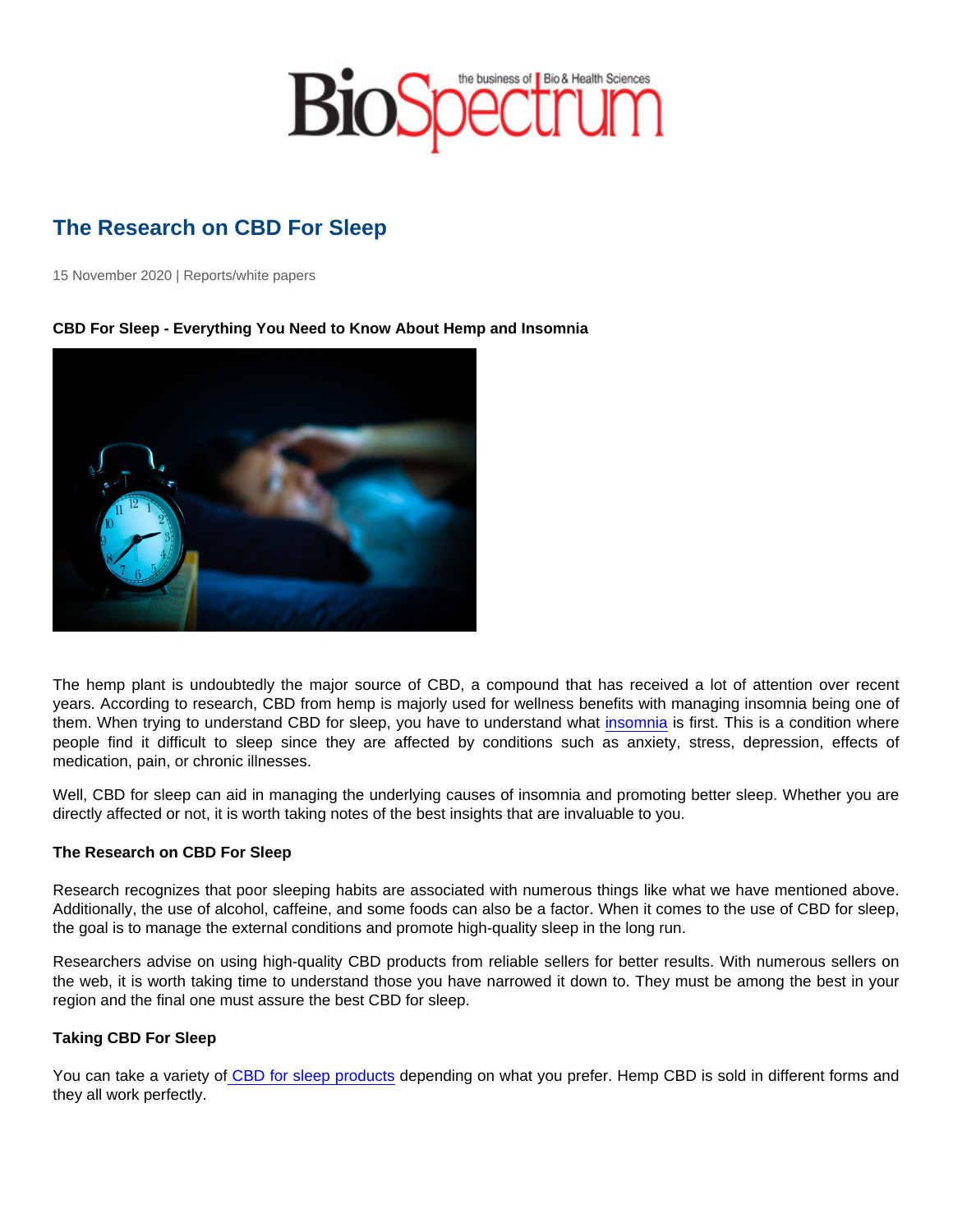# The Research on CBD For Sleep

15 November 2020 | Reports/white papers

CBD For Sleep - Everything You Need to Know About Hemp and Insomnia

The hemp plant is undoubtedly the major source of CBD, a compound that has received a lot of attention over recent years. According to research, CBD from hemp is majorly used for wellness benefits with managing insomnia being one of them. When trying to understand CBD for sleep, you have to understand what [insomnia](https://www.webmd.com/sleep-disorders/insomnia-symptoms-and-causes) is first. This is a condition where people find it difficult to sleep since they are affected by conditions such as anxiety, stress, depression, effects of medication, pain, or chronic illnesses.

Well, CBD for sleep can aid in managing the underlying causes of insomnia and promoting better sleep. Whether you are directly affected or not, it is worth taking notes of the best insights that are invaluable to you.

#### The Research on CBD For Sleep

Research recognizes that poor sleeping habits are associated with numerous things like what we have mentioned above. Additionally, the use of alcohol, caffeine, and some foods can also be a factor. When it comes to the use of CBD for sleep, the goal is to manage the external conditions and promote high-quality sleep in the long run.

Researchers advise on using high-quality CBD products from reliable sellers for better results. With numerous sellers on the web, it is worth taking time to understand those you have narrowed it down to. They must be among the best in your region and the final one must assure the best CBD for sleep.

#### Taking CBD For Sleep

You can take a variety o[f CBD for sleep products](https://cannaflower.com/cbd-for-sleep/) depending on what you prefer. Hemp CBD is sold in different forms and they all work perfectly.